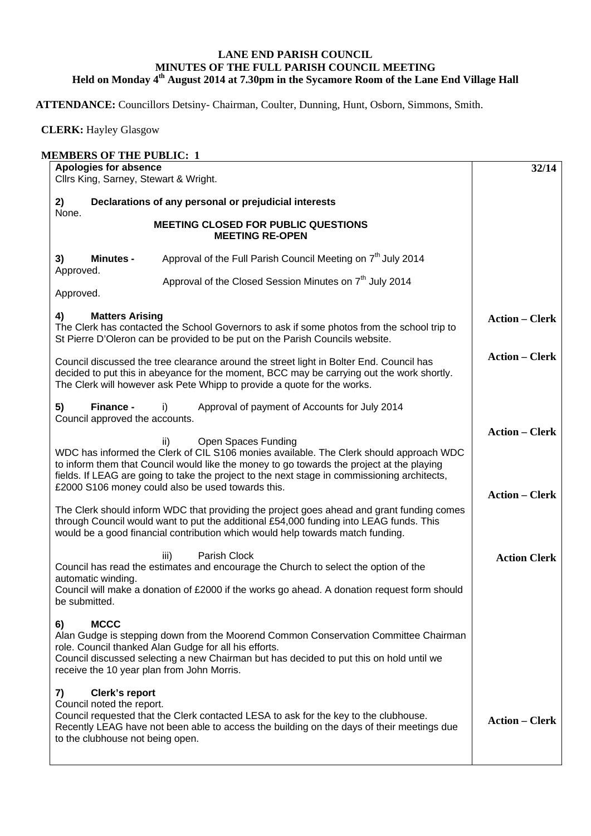## **LANE END PARISH COUNCIL MINUTES OF THE FULL PARISH COUNCIL MEETING Held on Monday 4th August 2014 at 7.30pm in the Sycamore Room of the Lane End Village Hall**

**ATTENDANCE:** Councillors Detsiny- Chairman, Coulter, Dunning, Hunt, Osborn, Simmons, Smith.

 **CLERK:** Hayley Glasgow

## **MEMBERS OF THE PUBLIC: 1 Apologies for absence**  Cllrs King, Sarney, Stewart & Wright. **2) Declarations of any personal or prejudicial interests**  None. **MEETING CLOSED FOR PUBLIC QUESTIONS MEETING RE-OPEN 3) Minutes -** Approval of the Full Parish Council Meeting on 7<sup>th</sup> July 2014 Approved. Approval of the Closed Session Minutes on  $7<sup>th</sup>$  July 2014 Approved. **4) Matters Arising**  The Clerk has contacted the School Governors to ask if some photos from the school trip to St Pierre D'Oleron can be provided to be put on the Parish Councils website. Council discussed the tree clearance around the street light in Bolter End. Council has decided to put this in abeyance for the moment, BCC may be carrying out the work shortly. The Clerk will however ask Pete Whipp to provide a quote for the works. **5) Finance -** i)Approval of payment of Accounts for July 2014 Council approved the accounts. ii) Open Spaces Funding WDC has informed the Clerk of CIL S106 monies available. The Clerk should approach WDC to inform them that Council would like the money to go towards the project at the playing fields. If LEAG are going to take the project to the next stage in commissioning architects, £2000 S106 money could also be used towards this. The Clerk should inform WDC that providing the project goes ahead and grant funding comes through Council would want to put the additional £54,000 funding into LEAG funds. This would be a good financial contribution which would help towards match funding. iii) Parish Clock Council has read the estimates and encourage the Church to select the option of the automatic winding. Council will make a donation of £2000 if the works go ahead. A donation request form should be submitted. **6) MCCC**  Alan Gudge is stepping down from the Moorend Common Conservation Committee Chairman role. Council thanked Alan Gudge for all his efforts. Council discussed selecting a new Chairman but has decided to put this on hold until we receive the 10 year plan from John Morris. **7) Clerk's report**  Council noted the report. Council requested that the Clerk contacted LESA to ask for the key to the clubhouse. Recently LEAG have not been able to access the building on the days of their meetings due to the clubhouse not being open. **32/14 Action – Clerk Action – Clerk Action – Clerk Action – Clerk Action Clerk Action – Clerk**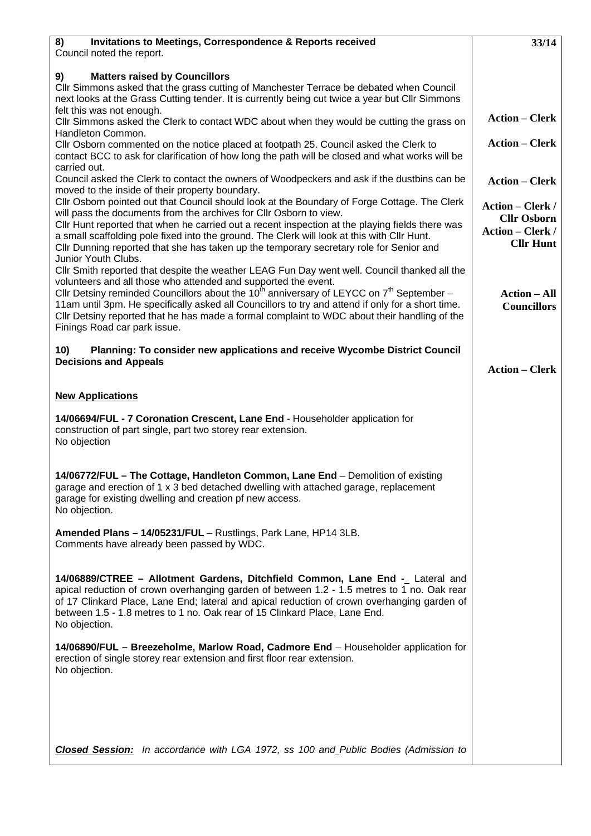| <b>Invitations to Meetings, Correspondence &amp; Reports received</b><br>8)                                                                                                                                                                                                                                                                                                      | 33/14                                                             |
|----------------------------------------------------------------------------------------------------------------------------------------------------------------------------------------------------------------------------------------------------------------------------------------------------------------------------------------------------------------------------------|-------------------------------------------------------------------|
| Council noted the report.                                                                                                                                                                                                                                                                                                                                                        |                                                                   |
| 9)<br><b>Matters raised by Councillors</b>                                                                                                                                                                                                                                                                                                                                       |                                                                   |
| Cllr Simmons asked that the grass cutting of Manchester Terrace be debated when Council<br>next looks at the Grass Cutting tender. It is currently being cut twice a year but Cllr Simmons                                                                                                                                                                                       |                                                                   |
| felt this was not enough.<br>Cllr Simmons asked the Clerk to contact WDC about when they would be cutting the grass on                                                                                                                                                                                                                                                           | <b>Action – Clerk</b>                                             |
| Handleton Common.<br>Cllr Osborn commented on the notice placed at footpath 25. Council asked the Clerk to                                                                                                                                                                                                                                                                       | <b>Action – Clerk</b>                                             |
| contact BCC to ask for clarification of how long the path will be closed and what works will be<br>carried out.                                                                                                                                                                                                                                                                  |                                                                   |
| Council asked the Clerk to contact the owners of Woodpeckers and ask if the dustbins can be                                                                                                                                                                                                                                                                                      | <b>Action - Clerk</b>                                             |
| moved to the inside of their property boundary.<br>Cllr Osborn pointed out that Council should look at the Boundary of Forge Cottage. The Clerk<br>will pass the documents from the archives for Cllr Osborn to view.                                                                                                                                                            | <b>Action – Clerk /</b>                                           |
| CIIr Hunt reported that when he carried out a recent inspection at the playing fields there was<br>a small scaffolding pole fixed into the ground. The Clerk will look at this with Cllr Hunt.<br>Cllr Dunning reported that she has taken up the temporary secretary role for Senior and                                                                                        | <b>Cllr Osborn</b><br><b>Action – Clerk /</b><br><b>Cllr Hunt</b> |
| Junior Youth Clubs.<br>Cllr Smith reported that despite the weather LEAG Fun Day went well. Council thanked all the                                                                                                                                                                                                                                                              |                                                                   |
| volunteers and all those who attended and supported the event.<br>Cllr Detsiny reminded Councillors about the 10 <sup>th</sup> anniversary of LEYCC on $7^{th}$ September –<br>11am until 3pm. He specifically asked all Councillors to try and attend if only for a short time.<br>Cllr Detsiny reported that he has made a formal complaint to WDC about their handling of the | <b>Action – All</b><br><b>Councillors</b>                         |
| Finings Road car park issue.                                                                                                                                                                                                                                                                                                                                                     |                                                                   |
| Planning: To consider new applications and receive Wycombe District Council<br>10)<br><b>Decisions and Appeals</b>                                                                                                                                                                                                                                                               | <b>Action – Clerk</b>                                             |
|                                                                                                                                                                                                                                                                                                                                                                                  |                                                                   |
| <b>New Applications</b>                                                                                                                                                                                                                                                                                                                                                          |                                                                   |
| 14/06694/FUL - 7 Coronation Crescent, Lane End - Householder application for<br>construction of part single, part two storey rear extension.<br>No objection                                                                                                                                                                                                                     |                                                                   |
| 14/06772/FUL - The Cottage, Handleton Common, Lane End - Demolition of existing<br>garage and erection of 1 x 3 bed detached dwelling with attached garage, replacement<br>garage for existing dwelling and creation pf new access.<br>No objection.                                                                                                                             |                                                                   |
| Amended Plans - 14/05231/FUL - Rustlings, Park Lane, HP14 3LB.<br>Comments have already been passed by WDC.                                                                                                                                                                                                                                                                      |                                                                   |
| 14/06889/CTREE - Allotment Gardens, Ditchfield Common, Lane End - Lateral and<br>apical reduction of crown overhanging garden of between 1.2 - 1.5 metres to 1 no. Oak rear<br>of 17 Clinkard Place, Lane End; lateral and apical reduction of crown overhanging garden of<br>between 1.5 - 1.8 metres to 1 no. Oak rear of 15 Clinkard Place, Lane End.<br>No objection.        |                                                                   |
| 14/06890/FUL - Breezeholme, Marlow Road, Cadmore End - Householder application for<br>erection of single storey rear extension and first floor rear extension.<br>No objection.                                                                                                                                                                                                  |                                                                   |
|                                                                                                                                                                                                                                                                                                                                                                                  |                                                                   |
|                                                                                                                                                                                                                                                                                                                                                                                  |                                                                   |
| <b>Closed Session:</b> In accordance with LGA 1972, ss 100 and Public Bodies (Admission to                                                                                                                                                                                                                                                                                       |                                                                   |